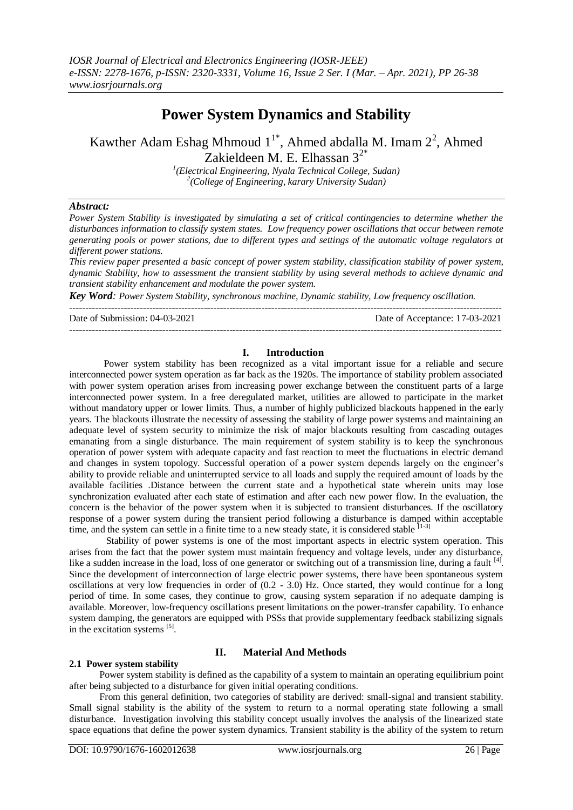# **Power System Dynamics and Stability**

# Kawther Adam Eshag Mhmoud  $1^{1*}$ , Ahmed abdalla M. Imam  $2^2$ , Ahmed Zakieldeen M. E. Elhassan  $3^{2*}$

*1 (Electrical Engineering, Nyala Technical College, Sudan) 2 (College of Engineering, karary University Sudan)* 

## *Abstract:*

*Power System Stability is investigated by simulating a set of critical contingencies to determine whether the disturbances information to classify system states. Low frequency power oscillations that occur between remote generating pools or power stations, due to different types and settings of the automatic voltage regulators at different power stations.*

*This review paper presented a basic concept of power system stability, classification stability of power system, dynamic Stability, how to assessment the transient stability by using several methods to achieve dynamic and transient stability enhancement and modulate the power system.*

*Key Word: Power System Stability, synchronous machine, Dynamic stability, Low frequency oscillation.*

---------------------------------------------------------------------------------------------------------------------------------------

--------------------------------------------------------------------------------------------------------------------------------------- Date of Submission: 04-03-2021 Date of Acceptance: 17-03-2021

## **I. Introduction**

Power system stability has been recognized as a vital important issue for a reliable and secure interconnected power system operation as far back as the 1920s. The importance of stability problem associated with power system operation arises from increasing power exchange between the constituent parts of a large interconnected power system. In a free deregulated market, utilities are allowed to participate in the market without mandatory upper or lower limits. Thus, a number of highly publicized blackouts happened in the early years. The blackouts illustrate the necessity of assessing the stability of large power systems and maintaining an adequate level of system security to minimize the risk of major blackouts resulting from cascading outages emanating from a single disturbance. The main requirement of system stability is to keep the synchronous operation of power system with adequate capacity and fast reaction to meet the fluctuations in electric demand and changes in system topology. Successful operation of a power system depends largely on the engineer's ability to provide reliable and uninterrupted service to all loads and supply the required amount of loads by the available facilities .Distance between the current state and a hypothetical state wherein units may lose synchronization evaluated after each state of estimation and after each new power flow. In the evaluation, the concern is the behavior of the power system when it is subjected to transient disturbances. If the oscillatory response of a power system during the transient period following a disturbance is damped within acceptable time, and the system can settle in a finite time to a new steady state, it is considered stable  $[1-3]$ 

Stability of power systems is one of the most important aspects in electric system operation. This arises from the fact that the power system must maintain frequency and voltage levels, under any disturbance, like a sudden increase in the load, loss of one generator or switching out of a transmission line, during a fault [4]. Since the development of interconnection of large electric power systems, there have been spontaneous system oscillations at very low frequencies in order of (0.2 - 3.0) Hz. Once started, they would continue for a long period of time. In some cases, they continue to grow, causing system separation if no adequate damping is available. Moreover, low-frequency oscillations present limitations on the power-transfer capability. To enhance system damping, the generators are equipped with PSSs that provide supplementary feedback stabilizing signals in the excitation systems [5].

## **2.1 Power system stability**

# **II. Material And Methods**

Power system stability is defined as the capability of a system to maintain an operating equilibrium point after being subjected to a disturbance for given initial operating conditions.

From this general definition, two categories of stability are derived: small-signal and transient stability. Small signal stability is the ability of the system to return to a normal operating state following a small disturbance. Investigation involving this stability concept usually involves the analysis of the linearized state space equations that define the power system dynamics. Transient stability is the ability of the system to return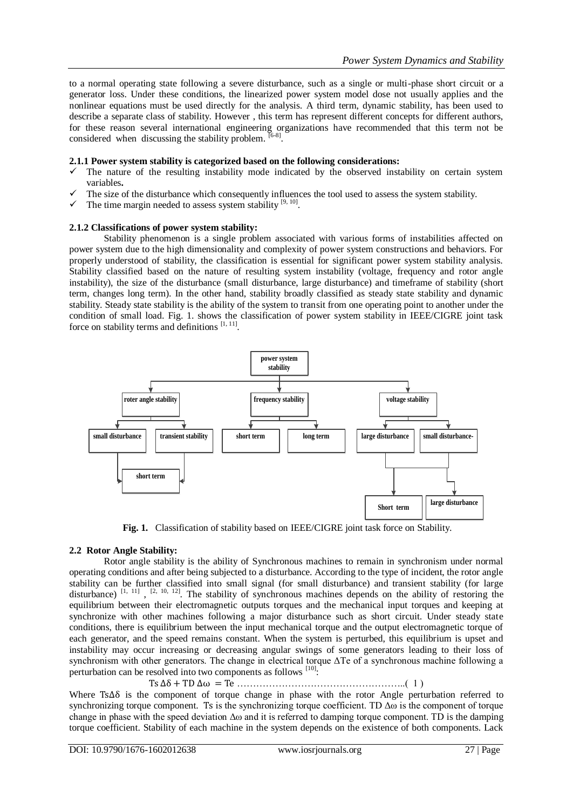to a normal operating state following a severe disturbance, such as a single or multi-phase short circuit or a generator loss. Under these conditions, the linearized power system model dose not usually applies and the nonlinear equations must be used directly for the analysis. A third term, dynamic stability, has been used to describe a separate class of stability. However , this term has represent different concepts for different authors, for these reason several international engineering organizations have recommended that this term not be considered when discussing the stability problem.  $[6-8]$ .

#### **2.1.1 Power system stability is categorized based on the following considerations:**

- The nature of the resulting instability mode indicated by the observed instability on certain system variables**.**
- $\checkmark$  The size of the disturbance which consequently influences the tool used to assess the system stability.
- $\checkmark$  The time margin needed to assess system stability [9, 10].

#### **2.1.2 Classifications of power system stability:**

Stability phenomenon is a single problem associated with various forms of instabilities affected on power system due to the high dimensionality and complexity of power system constructions and behaviors. For properly understood of stability, the classification is essential for significant power system stability analysis. Stability classified based on the nature of resulting system instability (voltage, frequency and rotor angle instability), the size of the disturbance (small disturbance, large disturbance) and timeframe of stability (short term, changes long term). In the other hand, stability broadly classified as steady state stability and dynamic stability. Steady state stability is the ability of the system to transit from one operating point to another under the condition of small load. Fig. 1. shows the classification of power system stability in IEEE/CIGRE joint task force on stability terms and definitions  $[1, 11]$ .



Fig. 1. Classification of stability based on IEEE/CIGRE joint task force on Stability.

### **2.2 Rotor Angle Stability:**

Rotor angle stability is the ability of Synchronous machines to remain in synchronism under normal operating conditions and after being subjected to a disturbance. According to the type of incident, the rotor angle stability can be further classified into small signal (for small disturbance) and transient stability (for large disturbance)  $[1, 11]$ ,  $[2, 10, 12]$ . The stability of synchronous machines depends on the ability of restoring the equilibrium between their electromagnetic outputs torques and the mechanical input torques and keeping at synchronize with other machines following a major disturbance such as short circuit. Under steady state conditions, there is equilibrium between the input mechanical torque and the output electromagnetic torque of each generator, and the speed remains constant. When the system is perturbed, this equilibrium is upset and instability may occur increasing or decreasing angular swings of some generators leading to their loss of synchronism with other generators. The change in electrical torque ΔTe of a synchronous machine following a perturbation can be resolved into two components as follows <sup>[10]</sup>:

……………………………………………..( 1 )

Where  $Ts\Delta\delta$  is the component of torque change in phase with the rotor Angle perturbation referred to synchronizing torque component. Ts is the synchronizing torque coefficient. TD  $\Delta\omega$  is the component of torque change in phase with the speed deviation Δω and it is referred to damping torque component. TD is the damping torque coefficient. Stability of each machine in the system depends on the existence of both components. Lack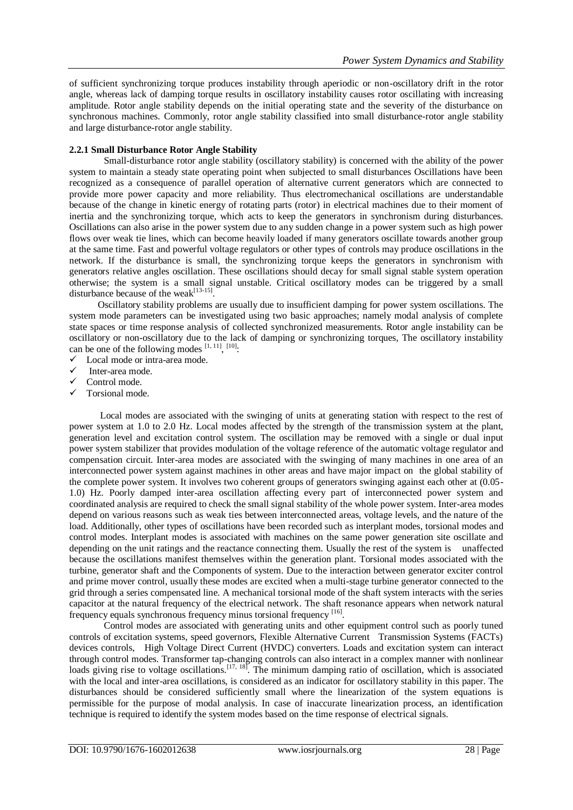of sufficient synchronizing torque produces instability through aperiodic or non-oscillatory drift in the rotor angle, whereas lack of damping torque results in oscillatory instability causes rotor oscillating with increasing amplitude. Rotor angle stability depends on the initial operating state and the severity of the disturbance on synchronous machines. Commonly, rotor angle stability classified into small disturbance-rotor angle stability and large disturbance-rotor angle stability.

### **2.2.1 Small Disturbance Rotor Angle Stability**

Small-disturbance rotor angle stability (oscillatory stability) is concerned with the ability of the power system to maintain a steady state operating point when subjected to small disturbances Oscillations have been recognized as a consequence of parallel operation of alternative current generators which are connected to provide more power capacity and more reliability. Thus electromechanical oscillations are understandable because of the change in kinetic energy of rotating parts (rotor) in electrical machines due to their moment of inertia and the synchronizing torque, which acts to keep the generators in synchronism during disturbances. Oscillations can also arise in the power system due to any sudden change in a power system such as high power flows over weak tie lines, which can become heavily loaded if many generators oscillate towards another group at the same time. Fast and powerful voltage regulators or other types of controls may produce oscillations in the network. If the disturbance is small, the synchronizing torque keeps the generators in synchronism with generators relative angles oscillation. These oscillations should decay for small signal stable system operation otherwise; the system is a small signal unstable. Critical oscillatory modes can be triggered by a small disturbance because of the weak $^{[13-15]}$ .

Oscillatory stability problems are usually due to insufficient damping for power system oscillations. The system mode parameters can be investigated using two basic approaches; namely modal analysis of complete state spaces or time response analysis of collected synchronized measurements. Rotor angle instability can be oscillatory or non-oscillatory due to the lack of damping or synchronizing torques, The oscillatory instability can be one of the following modes  $[1, 11]$ ,  $[10]$ .

- $\checkmark$  Local mode or intra-area mode.
- Inter-area mode.
- $\checkmark$  Control mode.
- $\checkmark$  Torsional mode.

Local modes are associated with the swinging of units at generating station with respect to the rest of power system at 1.0 to 2.0 Hz. Local modes affected by the strength of the transmission system at the plant, generation level and excitation control system. The oscillation may be removed with a single or dual input power system stabilizer that provides modulation of the voltage reference of the automatic voltage regulator and compensation circuit. Inter-area modes are associated with the swinging of many machines in one area of an interconnected power system against machines in other areas and have major impact on the global stability of the complete power system. It involves two coherent groups of generators swinging against each other at (0.05- 1.0) Hz. Poorly damped inter-area oscillation affecting every part of interconnected power system and coordinated analysis are required to check the small signal stability of the whole power system. Inter-area modes depend on various reasons such as weak ties between interconnected areas, voltage levels, and the nature of the load. Additionally, other types of oscillations have been recorded such as interplant modes, torsional modes and control modes. Interplant modes is associated with machines on the same power generation site oscillate and depending on the unit ratings and the reactance connecting them. Usually the rest of the system is unaffected because the oscillations manifest themselves within the generation plant. Torsional modes associated with the turbine, generator shaft and the Components of system. Due to the interaction between generator exciter control and prime mover control, usually these modes are excited when a multi-stage turbine generator connected to the grid through a series compensated line. A mechanical torsional mode of the shaft system interacts with the series capacitor at the natural frequency of the electrical network. The shaft resonance appears when network natural frequency equals synchronous frequency minus torsional frequency [16].

Control modes are associated with generating units and other equipment control such as poorly tuned controls of excitation systems, speed governors, Flexible Alternative Current Transmission Systems (FACTs) devices controls, High Voltage Direct Current (HVDC) converters. Loads and excitation system can interact through control modes. Transformer tap-changing controls can also interact in a complex manner with nonlinear loads giving rise to voltage oscillations.<sup>[17, 18]</sup>. The minimum damping ratio of oscillation, which is associated with the local and inter-area oscillations, is considered as an indicator for oscillatory stability in this paper. The disturbances should be considered sufficiently small where the linearization of the system equations is permissible for the purpose of modal analysis. In case of inaccurate linearization process, an identification technique is required to identify the system modes based on the time response of electrical signals.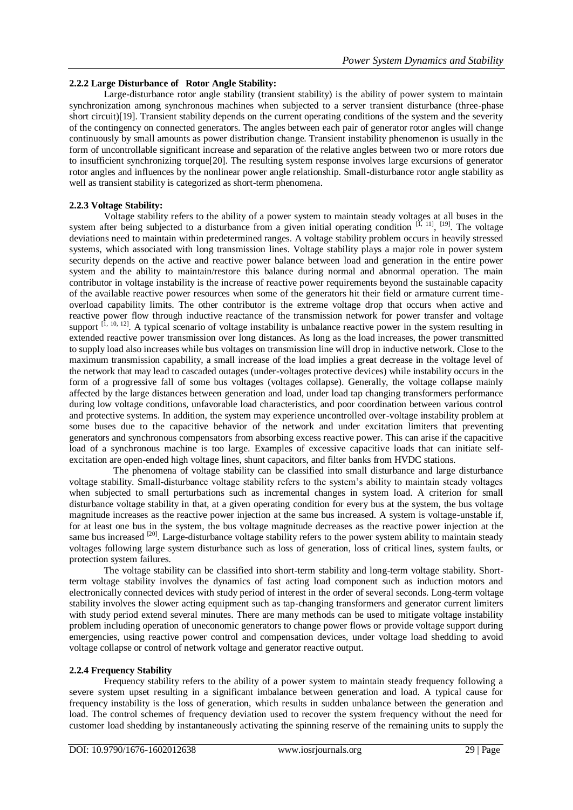## **2.2.2 Large Disturbance of Rotor Angle Stability:**

Large-disturbance rotor angle stability (transient stability) is the ability of power system to maintain synchronization among synchronous machines when subjected to a server transient disturbance (three-phase short circuit)[19]. Transient stability depends on the current operating conditions of the system and the severity of the contingency on connected generators. The angles between each pair of generator rotor angles will change continuously by small amounts as power distribution change. Transient instability phenomenon is usually in the form of uncontrollable significant increase and separation of the relative angles between two or more rotors due to insufficient synchronizing torque[20]. The resulting system response involves large excursions of generator rotor angles and influences by the nonlinear power angle relationship. Small-disturbance rotor angle stability as well as transient stability is categorized as short-term phenomena.

## **2.2.3 Voltage Stability:**

Voltage stability refers to the ability of a power system to maintain steady voltages at all buses in the system after being subjected to a disturbance from a given initial operating condition  $^{[1, 11]}, [19]$ . The voltage deviations need to maintain within predetermined ranges. A voltage stability problem occurs in heavily stressed systems, which associated with long transmission lines. Voltage stability plays a major role in power system security depends on the active and reactive power balance between load and generation in the entire power system and the ability to maintain/restore this balance during normal and abnormal operation. The main contributor in voltage instability is the increase of reactive power requirements beyond the sustainable capacity of the available reactive power resources when some of the generators hit their field or armature current timeoverload capability limits. The other contributor is the extreme voltage drop that occurs when active and reactive power flow through inductive reactance of the transmission network for power transfer and voltage support  $[1, 10, 12]$ . A typical scenario of voltage instability is unbalance reactive power in the system resulting in extended reactive power transmission over long distances. As long as the load increases, the power transmitted to supply load also increases while bus voltages on transmission line will drop in inductive network. Close to the maximum transmission capability, a small increase of the load implies a great decrease in the voltage level of the network that may lead to cascaded outages (under-voltages protective devices) while instability occurs in the form of a progressive fall of some bus voltages (voltages collapse). Generally, the voltage collapse mainly affected by the large distances between generation and load, under load tap changing transformers performance during low voltage conditions, unfavorable load characteristics, and poor coordination between various control and protective systems. In addition, the system may experience uncontrolled over-voltage instability problem at some buses due to the capacitive behavior of the network and under excitation limiters that preventing generators and synchronous compensators from absorbing excess reactive power. This can arise if the capacitive load of a synchronous machine is too large. Examples of excessive capacitive loads that can initiate selfexcitation are open-ended high voltage lines, shunt capacitors, and filter banks from HVDC stations.

 The phenomena of voltage stability can be classified into small disturbance and large disturbance voltage stability. Small-disturbance voltage stability refers to the system's ability to maintain steady voltages when subjected to small perturbations such as incremental changes in system load. A criterion for small disturbance voltage stability in that, at a given operating condition for every bus at the system, the bus voltage magnitude increases as the reactive power injection at the same bus increased. A system is voltage-unstable if, for at least one bus in the system, the bus voltage magnitude decreases as the reactive power injection at the same bus increased <sup>[20]</sup>. Large-disturbance voltage stability refers to the power system ability to maintain steady voltages following large system disturbance such as loss of generation, loss of critical lines, system faults, or protection system failures.

The voltage stability can be classified into short-term stability and long-term voltage stability. Shortterm voltage stability involves the dynamics of fast acting load component such as induction motors and electronically connected devices with study period of interest in the order of several seconds. Long-term voltage stability involves the slower acting equipment such as tap-changing transformers and generator current limiters with study period extend several minutes. There are many methods can be used to mitigate voltage instability problem including operation of uneconomic generators to change power flows or provide voltage support during emergencies, using reactive power control and compensation devices, under voltage load shedding to avoid voltage collapse or control of network voltage and generator reactive output.

### **2.2.4 Frequency Stability**

Frequency stability refers to the ability of a power system to maintain steady frequency following a severe system upset resulting in a significant imbalance between generation and load. A typical cause for frequency instability is the loss of generation, which results in sudden unbalance between the generation and load. The control schemes of frequency deviation used to recover the system frequency without the need for customer load shedding by instantaneously activating the spinning reserve of the remaining units to supply the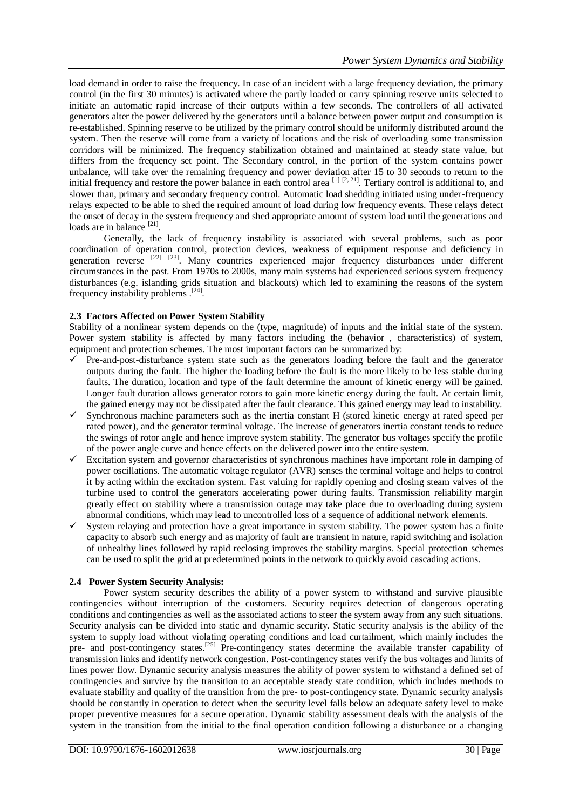load demand in order to raise the frequency. In case of an incident with a large frequency deviation, the primary control (in the first 30 minutes) is activated where the partly loaded or carry spinning reserve units selected to initiate an automatic rapid increase of their outputs within a few seconds. The controllers of all activated generators alter the power delivered by the generators until a balance between power output and consumption is re-established. Spinning reserve to be utilized by the primary control should be uniformly distributed around the system. Then the reserve will come from a variety of locations and the risk of overloading some transmission corridors will be minimized. The frequency stabilization obtained and maintained at steady state value, but differs from the frequency set point. The Secondary control, in the portion of the system contains power unbalance, will take over the remaining frequency and power deviation after 15 to 30 seconds to return to the initial frequency and restore the power balance in each control area  $^{[1]}$   $[2, 21]$ . Tertiary control is additional to, and slower than, primary and secondary frequency control. Automatic load shedding initiated using under-frequency relays expected to be able to shed the required amount of load during low frequency events. These relays detect the onset of decay in the system frequency and shed appropriate amount of system load until the generations and loads are in balance<sup>[21]</sup>.

Generally, the lack of frequency instability is associated with several problems, such as poor coordination of operation control, protection devices, weakness of equipment response and deficiency in generation reverse [22] [23]. Many countries experienced major frequency disturbances under different circumstances in the past. From 1970s to 2000s, many main systems had experienced serious system frequency disturbances (e.g. islanding grids situation and blackouts) which led to examining the reasons of the system frequency instability problems .<sup>[24]</sup>.

## **2.3 Factors Affected on Power System Stability**

Stability of a nonlinear system depends on the (type, magnitude) of inputs and the initial state of the system. Power system stability is affected by many factors including the (behavior , characteristics) of system, equipment and protection schemes. The most important factors can be summarized by:

- Pre-and-post-disturbance system state such as the generators loading before the fault and the generator outputs during the fault. The higher the loading before the fault is the more likely to be less stable during faults. The duration, location and type of the fault determine the amount of kinetic energy will be gained. Longer fault duration allows generator rotors to gain more kinetic energy during the fault. At certain limit, the gained energy may not be dissipated after the fault clearance. This gained energy may lead to instability.
- $\checkmark$  Synchronous machine parameters such as the inertia constant H (stored kinetic energy at rated speed per rated power), and the generator terminal voltage. The increase of generators inertia constant tends to reduce the swings of rotor angle and hence improve system stability. The generator bus voltages specify the profile of the power angle curve and hence effects on the delivered power into the entire system.
- $\checkmark$  Excitation system and governor characteristics of synchronous machines have important role in damping of power oscillations. The automatic voltage regulator (AVR) senses the terminal voltage and helps to control it by acting within the excitation system. Fast valuing for rapidly opening and closing steam valves of the turbine used to control the generators accelerating power during faults. Transmission reliability margin greatly effect on stability where a transmission outage may take place due to overloading during system abnormal conditions, which may lead to uncontrolled loss of a sequence of additional network elements.
- System relaying and protection have a great importance in system stability. The power system has a finite capacity to absorb such energy and as majority of fault are transient in nature, rapid switching and isolation of unhealthy lines followed by rapid reclosing improves the stability margins. Special protection schemes can be used to split the grid at predetermined points in the network to quickly avoid cascading actions.

## **2.4 Power System Security Analysis:**

Power system security describes the ability of a power system to withstand and survive plausible contingencies without interruption of the customers. Security requires detection of dangerous operating conditions and contingencies as well as the associated actions to steer the system away from any such situations. Security analysis can be divided into static and dynamic security. Static security analysis is the ability of the system to supply load without violating operating conditions and load curtailment, which mainly includes the pre- and post-contingency states.<sup>[25]</sup> Pre-contingency states determine the available transfer capability of transmission links and identify network congestion. Post-contingency states verify the bus voltages and limits of lines power flow. Dynamic security analysis measures the ability of power system to withstand a defined set of contingencies and survive by the transition to an acceptable steady state condition, which includes methods to evaluate stability and quality of the transition from the pre- to post-contingency state. Dynamic security analysis should be constantly in operation to detect when the security level falls below an adequate safety level to make proper preventive measures for a secure operation. Dynamic stability assessment deals with the analysis of the system in the transition from the initial to the final operation condition following a disturbance or a changing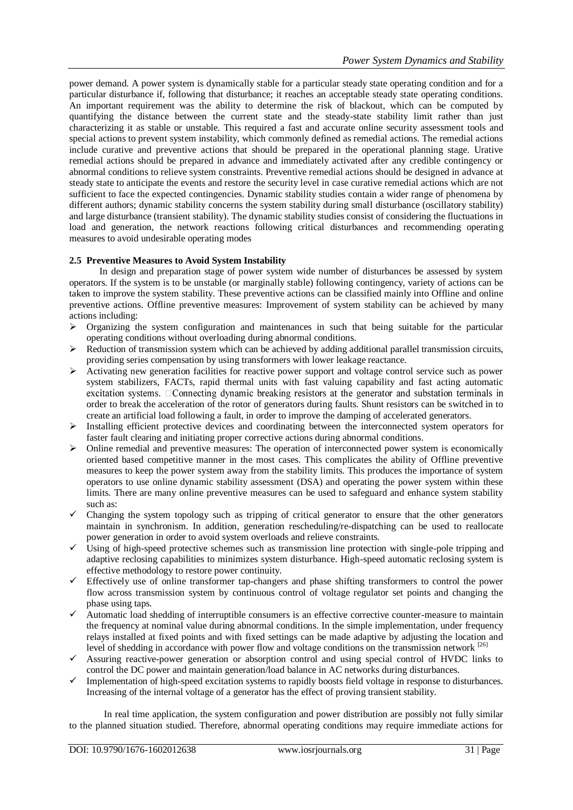power demand. A power system is dynamically stable for a particular steady state operating condition and for a particular disturbance if, following that disturbance; it reaches an acceptable steady state operating conditions. An important requirement was the ability to determine the risk of blackout, which can be computed by quantifying the distance between the current state and the steady-state stability limit rather than just characterizing it as stable or unstable. This required a fast and accurate online security assessment tools and special actions to prevent system instability, which commonly defined as remedial actions. The remedial actions include curative and preventive actions that should be prepared in the operational planning stage. Urative remedial actions should be prepared in advance and immediately activated after any credible contingency or abnormal conditions to relieve system constraints. Preventive remedial actions should be designed in advance at steady state to anticipate the events and restore the security level in case curative remedial actions which are not sufficient to face the expected contingencies. Dynamic stability studies contain a wider range of phenomena by different authors; dynamic stability concerns the system stability during small disturbance (oscillatory stability) and large disturbance (transient stability). The dynamic stability studies consist of considering the fluctuations in load and generation, the network reactions following critical disturbances and recommending operating measures to avoid undesirable operating modes

## **2.5 Preventive Measures to Avoid System Instability**

In design and preparation stage of power system wide number of disturbances be assessed by system operators. If the system is to be unstable (or marginally stable) following contingency, variety of actions can be taken to improve the system stability. These preventive actions can be classified mainly into Offline and online preventive actions. Offline preventive measures: Improvement of system stability can be achieved by many actions including:

- $\triangleright$  Organizing the system configuration and maintenances in such that being suitable for the particular operating conditions without overloading during abnormal conditions.
- $\triangleright$  Reduction of transmission system which can be achieved by adding additional parallel transmission circuits, providing series compensation by using transformers with lower leakage reactance.
- $\triangleright$  Activating new generation facilities for reactive power support and voltage control service such as power system stabilizers, FACTs, rapid thermal units with fast valuing capability and fast acting automatic excitation systems. DConnecting dynamic breaking resistors at the generator and substation terminals in order to break the acceleration of the rotor of generators during faults. Shunt resistors can be switched in to create an artificial load following a fault, in order to improve the damping of accelerated generators.
- $\triangleright$  Installing efficient protective devices and coordinating between the interconnected system operators for faster fault clearing and initiating proper corrective actions during abnormal conditions.
- $\triangleright$  Online remedial and preventive measures: The operation of interconnected power system is economically oriented based competitive manner in the most cases. This complicates the ability of Offline preventive measures to keep the power system away from the stability limits. This produces the importance of system operators to use online dynamic stability assessment (DSA) and operating the power system within these limits. There are many online preventive measures can be used to safeguard and enhance system stability such as:
- $\checkmark$  Changing the system topology such as tripping of critical generator to ensure that the other generators maintain in synchronism. In addition, generation rescheduling/re-dispatching can be used to reallocate power generation in order to avoid system overloads and relieve constraints.
- Using of high-speed protective schemes such as transmission line protection with single-pole tripping and adaptive reclosing capabilities to minimizes system disturbance. High-speed automatic reclosing system is effective methodology to restore power continuity.
- $\checkmark$  Effectively use of online transformer tap-changers and phase shifting transformers to control the power flow across transmission system by continuous control of voltage regulator set points and changing the phase using taps.
- $\checkmark$  Automatic load shedding of interruptible consumers is an effective corrective counter-measure to maintain the frequency at nominal value during abnormal conditions. In the simple implementation, under frequency relays installed at fixed points and with fixed settings can be made adaptive by adjusting the location and level of shedding in accordance with power flow and voltage conditions on the transmission network [26]
- $\checkmark$  Assuring reactive-power generation or absorption control and using special control of HVDC links to control the DC power and maintain generation/load balance in AC networks during disturbances.
- $\checkmark$  Implementation of high-speed excitation systems to rapidly boosts field voltage in response to disturbances. Increasing of the internal voltage of a generator has the effect of proving transient stability.

In real time application, the system configuration and power distribution are possibly not fully similar to the planned situation studied. Therefore, abnormal operating conditions may require immediate actions for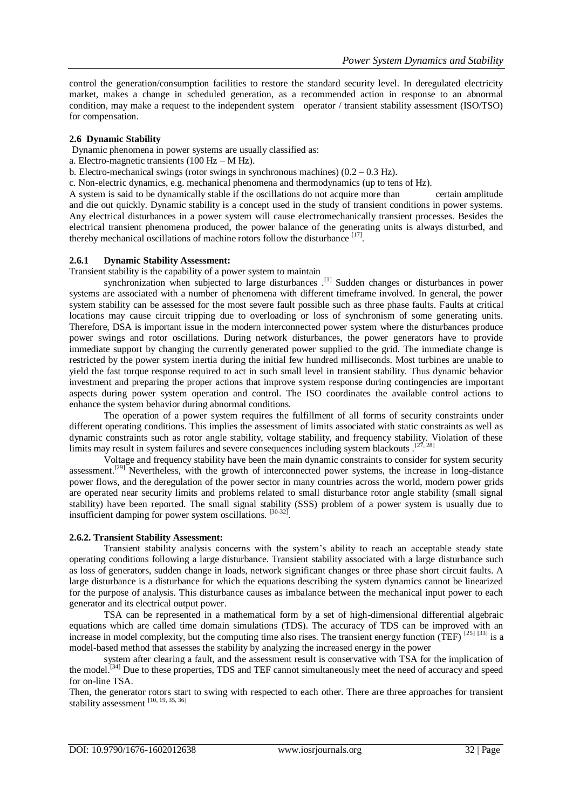control the generation/consumption facilities to restore the standard security level. In deregulated electricity market, makes a change in scheduled generation, as a recommended action in response to an abnormal condition, may make a request to the independent system operator / transient stability assessment (ISO/TSO) for compensation.

### **2.6 Dynamic Stability**

Dynamic phenomena in power systems are usually classified as:

- a. Electro-magnetic transients (100 Hz M Hz).
- b. Electro-mechanical swings (rotor swings in synchronous machines)  $(0.2 0.3 \text{ Hz})$ .
- c. Non-electric dynamics, e.g. mechanical phenomena and thermodynamics (up to tens of Hz).

A system is said to be dynamically stable if the oscillations do not acquire more than certain amplitude and die out quickly. Dynamic stability is a concept used in the study of transient conditions in power systems. Any electrical disturbances in a power system will cause electromechanically transient processes. Besides the electrical transient phenomena produced, the power balance of the generating units is always disturbed, and thereby mechanical oscillations of machine rotors follow the disturbance [17].

#### **2.6.1 Dynamic Stability Assessment:**

Transient stability is the capability of a power system to maintain

synchronization when subjected to large disturbances .<sup>[1]</sup> Sudden changes or disturbances in power systems are associated with a number of phenomena with different timeframe involved. In general, the power system stability can be assessed for the most severe fault possible such as three phase faults. Faults at critical locations may cause circuit tripping due to overloading or loss of synchronism of some generating units. Therefore, DSA is important issue in the modern interconnected power system where the disturbances produce power swings and rotor oscillations. During network disturbances, the power generators have to provide immediate support by changing the currently generated power supplied to the grid. The immediate change is restricted by the power system inertia during the initial few hundred milliseconds. Most turbines are unable to yield the fast torque response required to act in such small level in transient stability. Thus dynamic behavior investment and preparing the proper actions that improve system response during contingencies are important aspects during power system operation and control. The ISO coordinates the available control actions to enhance the system behavior during abnormal conditions.

The operation of a power system requires the fulfillment of all forms of security constraints under different operating conditions. This implies the assessment of limits associated with static constraints as well as dynamic constraints such as rotor angle stability, voltage stability, and frequency stability. Violation of these limits may result in system failures and severe consequences including system blackouts  $.$ <sup>[27, 28]</sup>

Voltage and frequency stability have been the main dynamic constraints to consider for system security assessment.<sup>[29]</sup> Nevertheless, with the growth of interconnected power systems, the increase in long-distance power flows, and the deregulation of the power sector in many countries across the world, modern power grids are operated near security limits and problems related to small disturbance rotor angle stability (small signal stability) have been reported. The small signal stability (SSS) problem of a power system is usually due to insufficient damping for power system oscillations. [30-32].

#### **2.6.2. Transient Stability Assessment:**

Transient stability analysis concerns with the system's ability to reach an acceptable steady state operating conditions following a large disturbance. Transient stability associated with a large disturbance such as loss of generators, sudden change in loads, network significant changes or three phase short circuit faults. A large disturbance is a disturbance for which the equations describing the system dynamics cannot be linearized for the purpose of analysis. This disturbance causes as imbalance between the mechanical input power to each generator and its electrical output power.

TSA can be represented in a mathematical form by a set of high-dimensional differential algebraic equations which are called time domain simulations (TDS). The accuracy of TDS can be improved with an increase in model complexity, but the computing time also rises. The transient energy function (TEF) [25] [33] is a model-based method that assesses the stability by analyzing the increased energy in the power

system after clearing a fault, and the assessment result is conservative with TSA for the implication of the model.<sup>[34]</sup> Due to these properties, TDS and TEF cannot simultaneously meet the need of accuracy and speed for on-line TSA.

Then, the generator rotors start to swing with respected to each other. There are three approaches for transient stability assessment  $[10, 19, 35, 36]$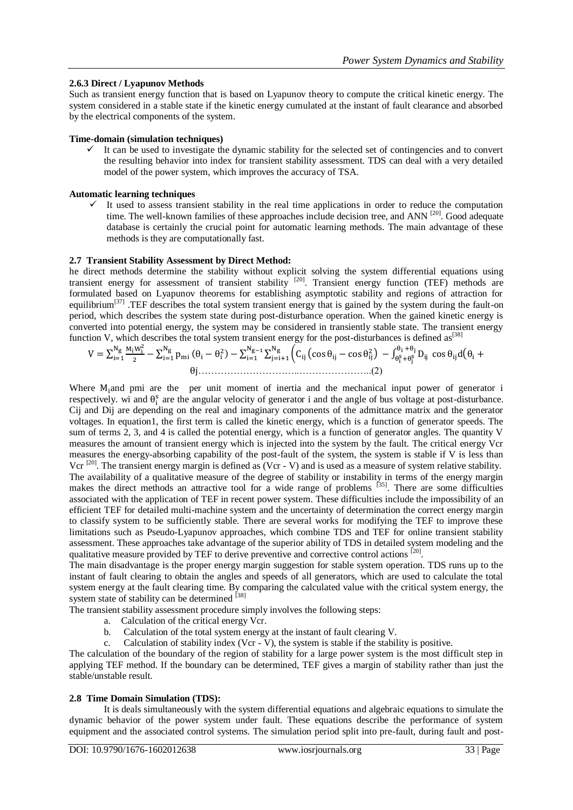## **2.6.3 Direct / Lyapunov Methods**

Such as transient energy function that is based on Lyapunov theory to compute the critical kinetic energy. The system considered in a stable state if the kinetic energy cumulated at the instant of fault clearance and absorbed by the electrical components of the system.

### **Time-domain (simulation techniques)**

 It can be used to investigate the dynamic stability for the selected set of contingencies and to convert the resulting behavior into index for transient stability assessment. TDS can deal with a very detailed model of the power system, which improves the accuracy of TSA.

## **Automatic learning techniques**

 $\checkmark$  It used to assess transient stability in the real time applications in order to reduce the computation time. The well-known families of these approaches include decision tree, and ANN <sup>[20]</sup>. Good adequate database is certainly the crucial point for automatic learning methods. The main advantage of these methods is they are computationally fast.

## **2.7 Transient Stability Assessment by Direct Method:**

he direct methods determine the stability without explicit solving the system differential equations using transient energy for assessment of transient stability [20]. Transient energy function (TEF) methods are formulated based on Lyapunov theorems for establishing asymptotic stability and regions of attraction for equilibrium<sup>[37]</sup> .TEF describes the total system transient energy that is gained by the system during the fault-on period, which describes the system state during post-disturbance operation. When the gained kinetic energy is converted into potential energy, the system may be considered in transiently stable state. The transient energy function V, which describes the total system transient energy for the post-disturbances is defined as<sup>[38]</sup>

$$
V = \sum_{i=1}^{N_g} \frac{M_i W_i^2}{2} - \sum_{i=1}^{N_g} p_{mi} (\theta_i - \theta_i^2) - \sum_{i=1}^{N_g-1} \sum_{j=i+1}^{N_g} \left( C_{ij} \left( \cos \theta_{ij} - \cos \theta_{ij}^2 \right) - \int_{\theta_i^S + \theta_j^S}^{\theta_i + \theta_j} D_{ij} \cos \theta_{ij} d(\theta_i + \theta_i^2) \right)
$$

Where  $M_1$  and pmi are the per unit moment of inertia and the mechanical input power of generator i respectively. wi and  $\theta_i^s$  are the angular velocity of generator i and the angle of bus voltage at post-disturbance. Cij and Dij are depending on the real and imaginary components of the admittance matrix and the generator voltages. In equation1, the first term is called the kinetic energy, which is a function of generator speeds. The sum of terms 2, 3, and 4 is called the potential energy, which is a function of generator angles. The quantity V measures the amount of transient energy which is injected into the system by the fault. The critical energy Vcr measures the energy-absorbing capability of the post-fault of the system, the system is stable if V is less than Vcr  $^{[20]}$ . The transient energy margin is defined as (Vcr - V) and is used as a measure of system relative stability. The availability of a qualitative measure of the degree of stability or instability in terms of the energy margin makes the direct methods an attractive tool for a wide range of problems <sup>[35]</sup>. There are some difficulties associated with the application of TEF in recent power system. These difficulties include the impossibility of an efficient TEF for detailed multi-machine system and the uncertainty of determination the correct energy margin to classify system to be sufficiently stable. There are several works for modifying the TEF to improve these limitations such as Pseudo-Lyapunov approaches, which combine TDS and TEF for online transient stability assessment. These approaches take advantage of the superior ability of TDS in detailed system modeling and the qualitative measure provided by TEF to derive preventive and corrective control actions [20].

The main disadvantage is the proper energy margin suggestion for stable system operation. TDS runs up to the instant of fault clearing to obtain the angles and speeds of all generators, which are used to calculate the total system energy at the fault clearing time. By comparing the calculated value with the critical system energy, the system state of stability can be determined [38]

The transient stability assessment procedure simply involves the following steps:

- a. Calculation of the critical energy Vcr.
- b. Calculation of the total system energy at the instant of fault clearing V.
- c. Calculation of stability index (Vcr V), the system is stable if the stability is positive.

The calculation of the boundary of the region of stability for a large power system is the most difficult step in applying TEF method. If the boundary can be determined, TEF gives a margin of stability rather than just the stable/unstable result.

### **2.8 Time Domain Simulation (TDS):**

It is deals simultaneously with the system differential equations and algebraic equations to simulate the dynamic behavior of the power system under fault. These equations describe the performance of system equipment and the associated control systems. The simulation period split into pre-fault, during fault and post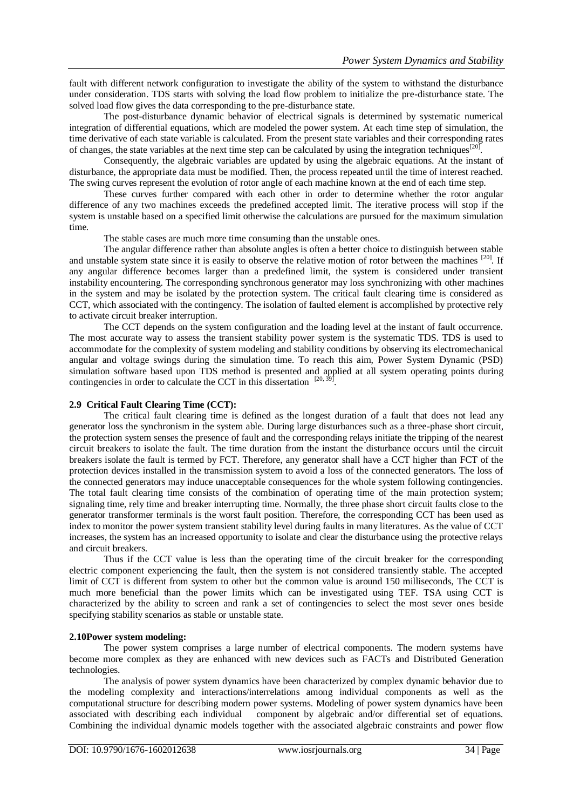fault with different network configuration to investigate the ability of the system to withstand the disturbance under consideration. TDS starts with solving the load flow problem to initialize the pre-disturbance state. The solved load flow gives the data corresponding to the pre-disturbance state.

The post-disturbance dynamic behavior of electrical signals is determined by systematic numerical integration of differential equations, which are modeled the power system. At each time step of simulation, the time derivative of each state variable is calculated. From the present state variables and their corresponding rates of changes, the state variables at the next time step can be calculated by using the integration techniques  $[20]$ .

Consequently, the algebraic variables are updated by using the algebraic equations. At the instant of disturbance, the appropriate data must be modified. Then, the process repeated until the time of interest reached. The swing curves represent the evolution of rotor angle of each machine known at the end of each time step.

These curves further compared with each other in order to determine whether the rotor angular difference of any two machines exceeds the predefined accepted limit. The iterative process will stop if the system is unstable based on a specified limit otherwise the calculations are pursued for the maximum simulation time.

The stable cases are much more time consuming than the unstable ones.

The angular difference rather than absolute angles is often a better choice to distinguish between stable and unstable system state since it is easily to observe the relative motion of rotor between the machines  $[20]$ . If any angular difference becomes larger than a predefined limit, the system is considered under transient instability encountering. The corresponding synchronous generator may loss synchronizing with other machines in the system and may be isolated by the protection system. The critical fault clearing time is considered as CCT, which associated with the contingency. The isolation of faulted element is accomplished by protective rely to activate circuit breaker interruption.

The CCT depends on the system configuration and the loading level at the instant of fault occurrence. The most accurate way to assess the transient stability power system is the systematic TDS. TDS is used to accommodate for the complexity of system modeling and stability conditions by observing its electromechanical angular and voltage swings during the simulation time. To reach this aim, Power System Dynamic (PSD) simulation software based upon TDS method is presented and applied at all system operating points during contingencies in order to calculate the CCT in this dissertation  $[20, 39]$ .

## **2.9 Critical Fault Clearing Time (CCT):**

The critical fault clearing time is defined as the longest duration of a fault that does not lead any generator loss the synchronism in the system able. During large disturbances such as a three-phase short circuit, the protection system senses the presence of fault and the corresponding relays initiate the tripping of the nearest circuit breakers to isolate the fault. The time duration from the instant the disturbance occurs until the circuit breakers isolate the fault is termed by FCT. Therefore, any generator shall have a CCT higher than FCT of the protection devices installed in the transmission system to avoid a loss of the connected generators. The loss of the connected generators may induce unacceptable consequences for the whole system following contingencies. The total fault clearing time consists of the combination of operating time of the main protection system; signaling time, rely time and breaker interrupting time. Normally, the three phase short circuit faults close to the generator transformer terminals is the worst fault position. Therefore, the corresponding CCT has been used as index to monitor the power system transient stability level during faults in many literatures. As the value of CCT increases, the system has an increased opportunity to isolate and clear the disturbance using the protective relays and circuit breakers.

Thus if the CCT value is less than the operating time of the circuit breaker for the corresponding electric component experiencing the fault, then the system is not considered transiently stable. The accepted limit of CCT is different from system to other but the common value is around 150 milliseconds, The CCT is much more beneficial than the power limits which can be investigated using TEF. TSA using CCT is characterized by the ability to screen and rank a set of contingencies to select the most sever ones beside specifying stability scenarios as stable or unstable state.

#### **2.10Power system modeling:**

The power system comprises a large number of electrical components. The modern systems have become more complex as they are enhanced with new devices such as FACTs and Distributed Generation technologies.

The analysis of power system dynamics have been characterized by complex dynamic behavior due to the modeling complexity and interactions/interrelations among individual components as well as the computational structure for describing modern power systems. Modeling of power system dynamics have been associated with describing each individual component by algebraic and/or differential set of equations. Combining the individual dynamic models together with the associated algebraic constraints and power flow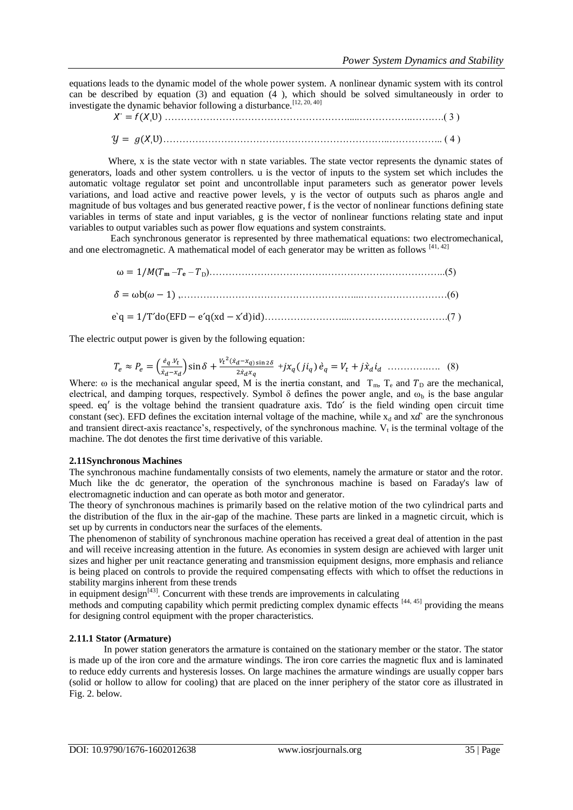equations leads to the dynamic model of the whole power system. A nonlinear dynamic system with its control can be described by equation (3) and equation (4 ), which should be solved simultaneously in order to investigate the dynamic behavior following a disturbance.[12, 20, 40]

$$
X' = f(X_1U) \dots (3)
$$
  

$$
Y = g(X_1U) \dots (4)
$$

Where, x is the state vector with n state variables. The state vector represents the dynamic states of generators, loads and other system controllers. u is the vector of inputs to the system set which includes the automatic voltage regulator set point and uncontrollable input parameters such as generator power levels variations, and load active and reactive power levels, y is the vector of outputs such as pharos angle and magnitude of bus voltages and bus generated reactive power, f is the vector of nonlinear functions defining state variables in terms of state and input variables, g is the vector of nonlinear functions relating state and input variables to output variables such as power flow equations and system constraints.

Each synchronous generator is represented by three mathematical equations: two electromechanical, and one electromagnetic. A mathematical model of each generator may be written as follows [41, 42]

 ( – – <sup>D</sup>)………………………………………………………………..(5) ( ,………………………………………………...………………………(6) ……………………...………………………….(7 )

The electric output power is given by the following equation:

$$
T_e \approx P_e = \left(\frac{\dot{e}_q \cdot v_t}{\dot{x}_d - x_d}\right) \sin \delta + \frac{v_t^2 (\dot{x}_d - x_q) \sin 2\delta}{2\dot{x}_d x_q} + jx_q (j i_q) \dot{e}_q = V_t + j\dot{x}_d i_d \dots \dots \dots \dots \dots \tag{8}
$$

Where:  $\omega$  is the mechanical angular speed, M is the inertia constant, and  $T_m$ ,  $T_e$  and  $T_p$  are the mechanical, electrical, and damping torques, respectively. Symbol  $\delta$  defines the power angle, and  $\omega_b$  is the base angular speed. eq' is the voltage behind the transient quadrature axis. Tdo' is the field winding open circuit time constant (sec). EFD defines the excitation internal voltage of the machine, while  $x_d$  and  $x d^x$  are the synchronous and transient direct-axis reactance's, respectively, of the synchronous machine.  $V_t$  is the terminal voltage of the machine. The dot denotes the first time derivative of this variable.

### **2.11Synchronous Machines**

The synchronous machine fundamentally consists of two elements, namely the armature or stator and the rotor. Much like the dc generator, the operation of the synchronous machine is based on Faraday's law of electromagnetic induction and can operate as both motor and generator.

The theory of synchronous machines is primarily based on the relative motion of the two cylindrical parts and the distribution of the flux in the air-gap of the machine. These parts are linked in a magnetic circuit, which is set up by currents in conductors near the surfaces of the elements.

The phenomenon of stability of synchronous machine operation has received a great deal of attention in the past and will receive increasing attention in the future. As economies in system design are achieved with larger unit sizes and higher per unit reactance generating and transmission equipment designs, more emphasis and reliance is being placed on controls to provide the required compensating effects with which to offset the reductions in stability margins inherent from these trends

in equipment design $^{[43]}$ . Concurrent with these trends are improvements in calculating

methods and computing capability which permit predicting complex dynamic effects [44, 45] providing the means for designing control equipment with the proper characteristics.

## **2.11.1 Stator (Armature)**

In power station generators the armature is contained on the stationary member or the stator. The stator is made up of the iron core and the armature windings. The iron core carries the magnetic flux and is laminated to reduce eddy currents and hysteresis losses. On large machines the armature windings are usually copper bars (solid or hollow to allow for cooling) that are placed on the inner periphery of the stator core as illustrated in Fig. 2. below.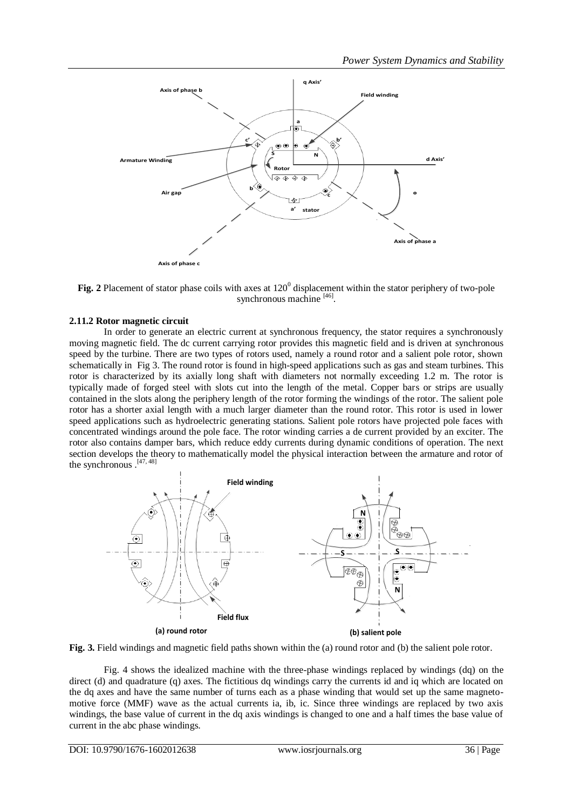

Fig. 2 Placement of stator phase coils with axes at 120<sup>0</sup> displacement within the stator periphery of two-pole synchronous machine [46].

## **2.11.2 Rotor magnetic circuit**

In order to generate an electric current at synchronous frequency, the stator requires a synchronously moving magnetic field. The dc current carrying rotor provides this magnetic field and is driven at synchronous speed by the turbine. There are two types of rotors used, namely a round rotor and a salient pole rotor, shown schematically in Fig 3. The round rotor is found in high-speed applications such as gas and steam turbines. This rotor is characterized by its axially long shaft with diameters not normally exceeding 1.2 m. The rotor is typically made of forged steel with slots cut into the length of the metal. Copper bars or strips are usually contained in the slots along the periphery length of the rotor forming the windings of the rotor. The salient pole rotor has a shorter axial length with a much larger diameter than the round rotor. This rotor is used in lower speed applications such as hydroelectric generating stations. Salient pole rotors have projected pole faces with concentrated windings around the pole face. The rotor winding carries a de current provided by an exciter. The rotor also contains damper bars, which reduce eddy currents during dynamic conditions of operation. The next section develops the theory to mathematically model the physical interaction between the armature and rotor of the synchronous . [47, 48]



**Fig. 3.** Field windings and magnetic field paths shown within the (a) round rotor and (b) the salient pole rotor.

Fig. 4 shows the idealized machine with the three-phase windings replaced by windings (dq) on the direct (d) and quadrature (q) axes. The fictitious dq windings carry the currents id and iq which are located on the dq axes and have the same number of turns each as a phase winding that would set up the same magnetomotive force (MMF) wave as the actual currents ia, ib, ic. Since three windings are replaced by two axis windings, the base value of current in the dq axis windings is changed to one and a half times the base value of current in the abc phase windings.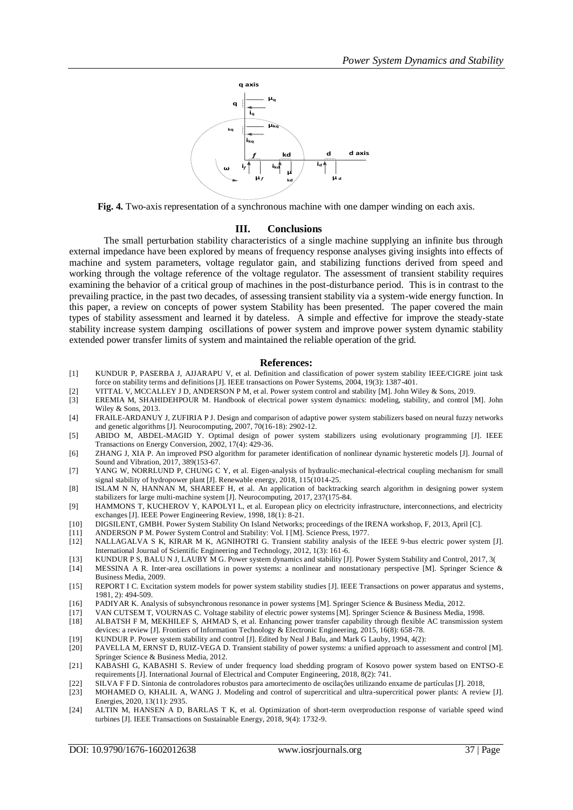

**Fig. 4.** Two-axis representation of a synchronous machine with one damper winding on each axis.

#### **III. Conclusions**

The small perturbation stability characteristics of a single machine supplying an infinite bus through external impedance have been explored by means of frequency response analyses giving insights into effects of machine and system parameters, voltage regulator gain, and stabilizing functions derived from speed and working through the voltage reference of the voltage regulator. The assessment of transient stability requires examining the behavior of a critical group of machines in the post-disturbance period. This is in contrast to the prevailing practice, in the past two decades, of assessing transient stability via a system-wide energy function. In this paper, a review on concepts of power system Stability has been presented. The paper covered the main types of stability assessment and learned it by dateless. A simple and effective for improve the steady-state stability increase system damping oscillations of power system and improve power system dynamic stability extended power transfer limits of system and maintained the reliable operation of the grid.

#### **References:**

- [1] KUNDUR P, PASERBA J, AJJARAPU V, et al. Definition and classification of power system stability IEEE/CIGRE joint task force on stability terms and definitions [J]. IEEE transactions on Power Systems, 2004, 19(3): 1387-401.
- [2] VITTAL V, MCCALLEY J D, ANDERSON P M, et al. Power system control and stability [M]. John Wiley & Sons, 2019.
- [3] EREMIA M, SHAHIDEHPOUR M. Handbook of electrical power system dynamics: modeling, stability, and control [M]. John Wiley  $&$  Sons, 2013.
- [4] FRAILE-ARDANUY J, ZUFIRIA P J. Design and comparison of adaptive power system stabilizers based on neural fuzzy networks and genetic algorithms [J]. Neurocomputing, 2007, 70(16-18): 2902-12.
- [5] ABIDO M, ABDEL-MAGID Y. Optimal design of power system stabilizers using evolutionary programming [J]. IEEE Transactions on Energy Conversion, 2002, 17(4): 429-36.
- [6] ZHANG J, XIA P. An improved PSO algorithm for parameter identification of nonlinear dynamic hysteretic models [J]. Journal of Sound and Vibration, 2017, 389(153-67.
- [7] YANG W, NORRLUND P, CHUNG C Y, et al. Eigen-analysis of hydraulic-mechanical-electrical coupling mechanism for small signal stability of hydropower plant [J]. Renewable energy, 2018, 115(1014-25.
- [8] ISLAM N N, HANNAN M, SHAREEF H, et al. An application of backtracking search algorithm in designing power system stabilizers for large multi-machine system [J]. Neurocomputing, 2017, 237(175-84.
- [9] HAMMONS T, KUCHEROV Y, KAPOLYI L, et al. European plicy on electricity infrastructure, interconnections, and electricity exchanges [J]. IEEE Power Engineering Review, 1998, 18(1): 8-21.
- [10] DIGSILENT, GMBH. Power System Stability On Island Networks; proceedings of the IRENA workshop, F, 2013, April [C].
- [11] ANDERSON P M. Power System Control and Stability: Vol. I [M]. Science Press, 1977.
- [12] NALLAGALVA S K, KIRAR M K, AGNIHOTRI G. Transient stability analysis of the IEEE 9-bus electric power system [J]. International Journal of Scientific Engineering and Technology, 2012, 1(3): 161-6.
- [13] KUNDUR P S, BALU N J, LAUBY M G. Power system dynamics and stability [J]. Power System Stability and Control, 2017, 3(
- [14] MESSINA A R. Inter-area oscillations in power systems: a nonlinear and nonstationary perspective [M]. Springer Science & Business Media, 2009.
- [15] REPORT I C. Excitation system models for power system stability studies [J]. IEEE Transactions on power apparatus and systems, 1981, 2): 494-509.
- [16] PADIYAR K. Analysis of subsynchronous resonance in power systems [M]. Springer Science & Business Media, 2012.
- [17] VAN CUTSEM T, VOURNAS C. Voltage stability of electric power systems [M]. Springer Science & Business Media, 1998.<br>[18] ALBATSH F M, MEKHILEF S, AHMAD S, et al. Enhancing power transfer capability through flexible AC
- [18] ALBATSH F M, MEKHILEF S, AHMAD S, et al. Enhancing power transfer capability through flexible AC transmission system devices: a review [J]. Frontiers of Information Technology & Electronic Engineering, 2015, 16(8): 658-78.
- [19] KUNDUR P. Power system stability and control [J]. Edited by Neal J Balu, and Mark G Lauby, 1994, 4(2):
- [20] PAVELLA M, ERNST D, RUIZ-VEGA D. Transient stability of power systems: a unified approach to assessment and control [M]. Springer Science & Business Media, 2012.
- [21] KABASHI G, KABASHI S. Review of under frequency load shedding program of Kosovo power system based on ENTSO-E requirements [J]. International Journal of Electrical and Computer Engineering, 2018, 8(2): 741.
- 
- [22] SILVA F F D. Sintonia de controladores robustos para amortecimento de oscilações utilizando enxame de partículas [J]. 2018, [23] MOHAMED O, KHALIL A, WANG J. Modeling and control of supercritical and ultra-supercritical power plants: A review [J]. Energies, 2020, 13(11): 2935.
- [24] ALTIN M, HANSEN A D, BARLAS T K, et al. Optimization of short-term overproduction response of variable speed wind turbines [J]. IEEE Transactions on Sustainable Energy, 2018, 9(4): 1732-9.